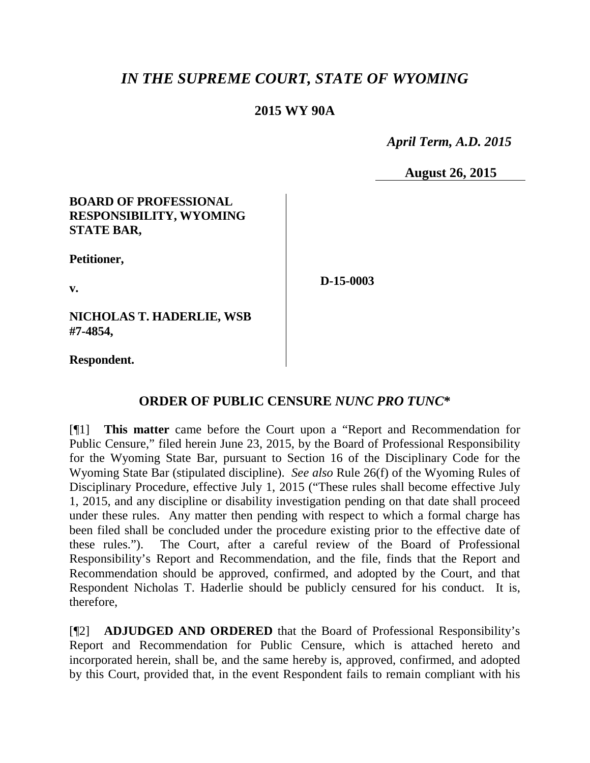# *IN THE SUPREME COURT, STATE OF WYOMING*

### **2015 WY 90A**

 *April Term, A.D. 2015*

**August 26, 2015**

### **BOARD OF PROFESSIONAL RESPONSIBILITY, WYOMING STATE BAR,**

**Petitioner,**

**v.**

**D-15-0003**

**NICHOLAS T. HADERLIE, WSB #7-4854,**

**Respondent.**

## **ORDER OF PUBLIC CENSURE** *NUNC PRO TUNC***\***

[¶1] **This matter** came before the Court upon a "Report and Recommendation for Public Censure," filed herein June 23, 2015, by the Board of Professional Responsibility for the Wyoming State Bar, pursuant to Section 16 of the Disciplinary Code for the Wyoming State Bar (stipulated discipline). *See also* Rule 26(f) of the Wyoming Rules of Disciplinary Procedure, effective July 1, 2015 ("These rules shall become effective July 1, 2015, and any discipline or disability investigation pending on that date shall proceed under these rules. Any matter then pending with respect to which a formal charge has been filed shall be concluded under the procedure existing prior to the effective date of these rules."). The Court, after a careful review of the Board of Professional Responsibility's Report and Recommendation, and the file, finds that the Report and Recommendation should be approved, confirmed, and adopted by the Court, and that Respondent Nicholas T. Haderlie should be publicly censured for his conduct. It is, therefore,

[¶2] **ADJUDGED AND ORDERED** that the Board of Professional Responsibility's Report and Recommendation for Public Censure, which is attached hereto and incorporated herein, shall be, and the same hereby is, approved, confirmed, and adopted by this Court, provided that, in the event Respondent fails to remain compliant with his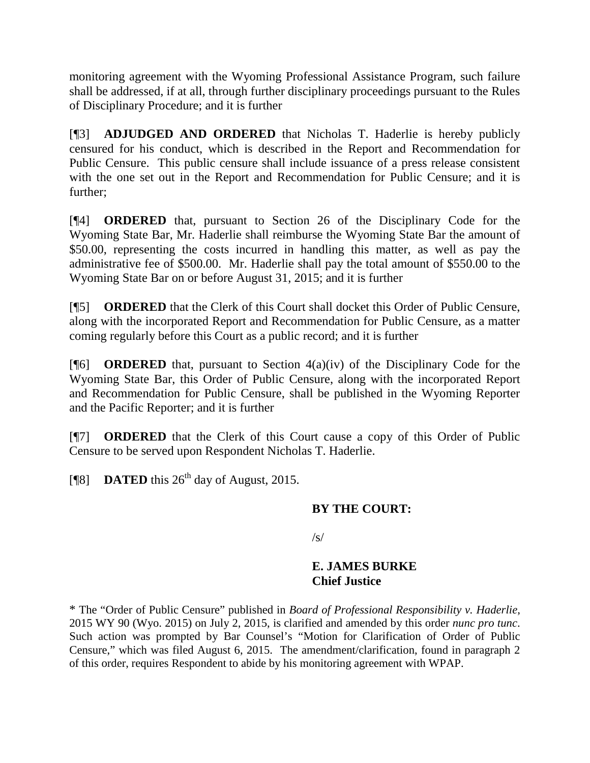monitoring agreement with the Wyoming Professional Assistance Program, such failure shall be addressed, if at all, through further disciplinary proceedings pursuant to the Rules of Disciplinary Procedure; and it is further

[¶3] **ADJUDGED AND ORDERED** that Nicholas T. Haderlie is hereby publicly censured for his conduct, which is described in the Report and Recommendation for Public Censure. This public censure shall include issuance of a press release consistent with the one set out in the Report and Recommendation for Public Censure; and it is further;

[¶4] **ORDERED** that, pursuant to Section 26 of the Disciplinary Code for the Wyoming State Bar, Mr. Haderlie shall reimburse the Wyoming State Bar the amount of \$50.00, representing the costs incurred in handling this matter, as well as pay the administrative fee of \$500.00. Mr. Haderlie shall pay the total amount of \$550.00 to the Wyoming State Bar on or before August 31, 2015; and it is further

[¶5] **ORDERED** that the Clerk of this Court shall docket this Order of Public Censure, along with the incorporated Report and Recommendation for Public Censure, as a matter coming regularly before this Court as a public record; and it is further

[¶6] **ORDERED** that, pursuant to Section 4(a)(iv) of the Disciplinary Code for the Wyoming State Bar, this Order of Public Censure, along with the incorporated Report and Recommendation for Public Censure, shall be published in the Wyoming Reporter and the Pacific Reporter; and it is further

[¶7] **ORDERED** that the Clerk of this Court cause a copy of this Order of Public Censure to be served upon Respondent Nicholas T. Haderlie.

[ $\degree$ [8] **DATED** this 26<sup>th</sup> day of August, 2015.

### **BY THE COURT:**

 $\sqrt{s}$ 

### **E. JAMES BURKE Chief Justice**

\* The "Order of Public Censure" published in *Board of Professional Responsibility v. Haderlie*, 2015 WY 90 (Wyo. 2015) on July 2, 2015, is clarified and amended by this order *nunc pro tunc*. Such action was prompted by Bar Counsel's "Motion for Clarification of Order of Public Censure," which was filed August 6, 2015. The amendment/clarification, found in paragraph 2 of this order, requires Respondent to abide by his monitoring agreement with WPAP.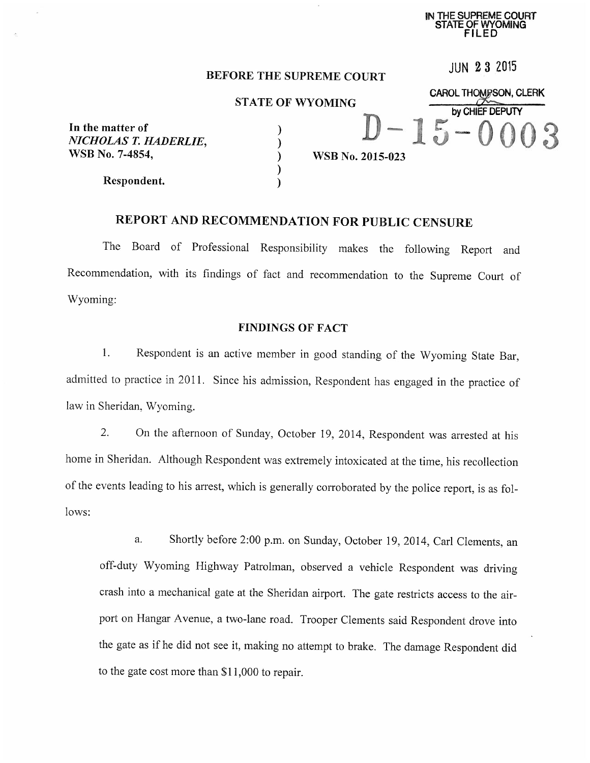IN THE SUPREME COURT OF WYOMING

**JUN 23 2015** 

**CAROL THOMPSON, CLERK** 

by CHIEF DEPUTY

#### **BEFORE THE SUPREME COURT**

**STATE OF WYOMING** 

In the matter of NICHOLAS T. HADERLIE. WSB No. 7-4854,

Respondent.

WSB No. 2015-023

# REPORT AND RECOMMENDATION FOR PUBLIC CENSURE

 $\mathcal{E}$ 

 $\overline{\mathcal{E}}$ 

The Board of Professional Responsibility makes the following Report and Recommendation, with its findings of fact and recommendation to the Supreme Court of Wyoming:

#### **FINDINGS OF FACT**

 $\mathbf{1}$ . Respondent is an active member in good standing of the Wyoming State Bar, admitted to practice in 2011. Since his admission, Respondent has engaged in the practice of law in Sheridan, Wyoming.

 $\overline{2}$ . On the afternoon of Sunday, October 19, 2014, Respondent was arrested at his home in Sheridan. Although Respondent was extremely intoxicated at the time, his recollection of the events leading to his arrest, which is generally corroborated by the police report, is as follows:

Shortly before 2:00 p.m. on Sunday, October 19, 2014, Carl Clements, an a. off-duty Wyoming Highway Patrolman, observed a vehicle Respondent was driving crash into a mechanical gate at the Sheridan airport. The gate restricts access to the airport on Hangar Avenue, a two-lane road. Trooper Clements said Respondent drove into the gate as if he did not see it, making no attempt to brake. The damage Respondent did to the gate cost more than \$11,000 to repair.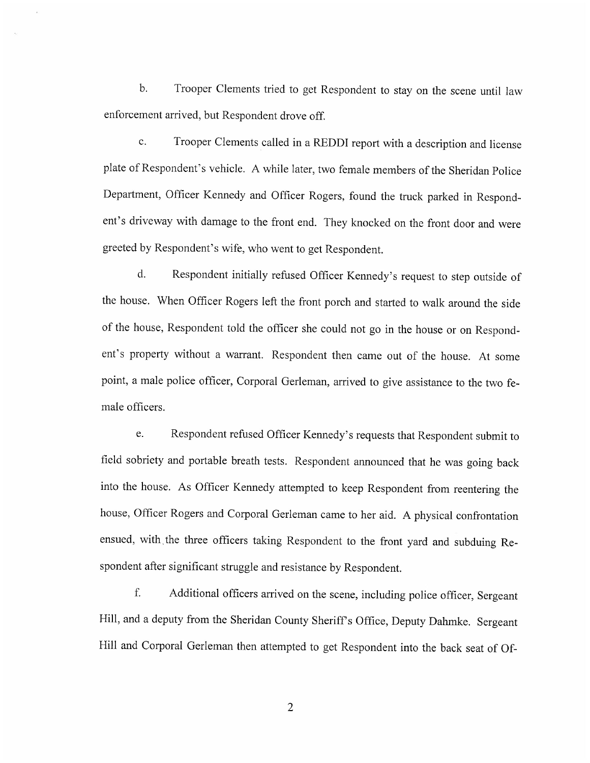$\mathbf{b}$ . Trooper Clements tried to get Respondent to stay on the scene until law enforcement arrived, but Respondent drove off.

 $\mathbf{c}$ . Trooper Clements called in a REDDI report with a description and license plate of Respondent's vehicle. A while later, two female members of the Sheridan Police Department, Officer Kennedy and Officer Rogers, found the truck parked in Respondent's driveway with damage to the front end. They knocked on the front door and were greeted by Respondent's wife, who went to get Respondent.

 $d.$ Respondent initially refused Officer Kennedy's request to step outside of the house. When Officer Rogers left the front porch and started to walk around the side of the house, Respondent told the officer she could not go in the house or on Respondent's property without a warrant. Respondent then came out of the house. At some point, a male police officer, Corporal Gerleman, arrived to give assistance to the two female officers.

Respondent refused Officer Kennedy's requests that Respondent submit to e. field sobriety and portable breath tests. Respondent announced that he was going back into the house. As Officer Kennedy attempted to keep Respondent from reentering the house, Officer Rogers and Corporal Gerleman came to her aid. A physical confrontation ensued, with the three officers taking Respondent to the front yard and subduing Respondent after significant struggle and resistance by Respondent.

f. Additional officers arrived on the scene, including police officer, Sergeant Hill, and a deputy from the Sheridan County Sheriff's Office, Deputy Dahmke. Sergeant Hill and Corporal Gerleman then attempted to get Respondent into the back seat of Of-

 $\overline{2}$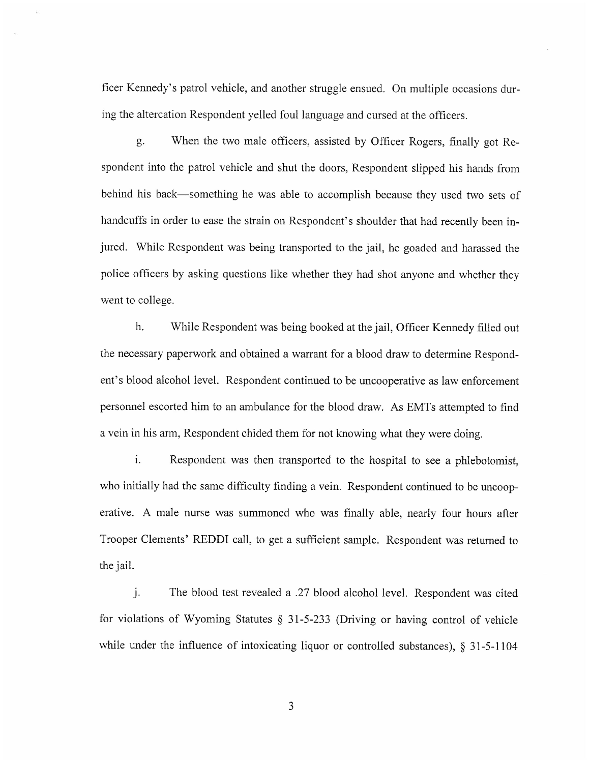ficer Kennedy's patrol vehicle, and another struggle ensued. On multiple occasions during the altercation Respondent yelled foul language and cursed at the officers.

When the two male officers, assisted by Officer Rogers, finally got Reg. spondent into the patrol vehicle and shut the doors, Respondent slipped his hands from behind his back—something he was able to accomplish because they used two sets of handcuffs in order to ease the strain on Respondent's shoulder that had recently been injured. While Respondent was being transported to the jail, he goaded and harassed the police officers by asking questions like whether they had shot anyone and whether they went to college.

 $h$ . While Respondent was being booked at the jail, Officer Kennedy filled out the necessary paperwork and obtained a warrant for a blood draw to determine Respondent's blood alcohol level. Respondent continued to be uncooperative as law enforcement personnel escorted him to an ambulance for the blood draw. As EMTs attempted to find a vein in his arm, Respondent chided them for not knowing what they were doing.

 $\mathbf{i}$ . Respondent was then transported to the hospital to see a phlebotomist, who initially had the same difficulty finding a vein. Respondent continued to be uncooperative. A male nurse was summoned who was finally able, nearly four hours after Trooper Clements' REDDI call, to get a sufficient sample. Respondent was returned to the jail.

The blood test revealed a .27 blood alcohol level. Respondent was cited j. for violations of Wyoming Statutes  $\S$  31-5-233 (Driving or having control of vehicle while under the influence of intoxicating liquor or controlled substances),  $\S$  31-5-1104

 $\overline{3}$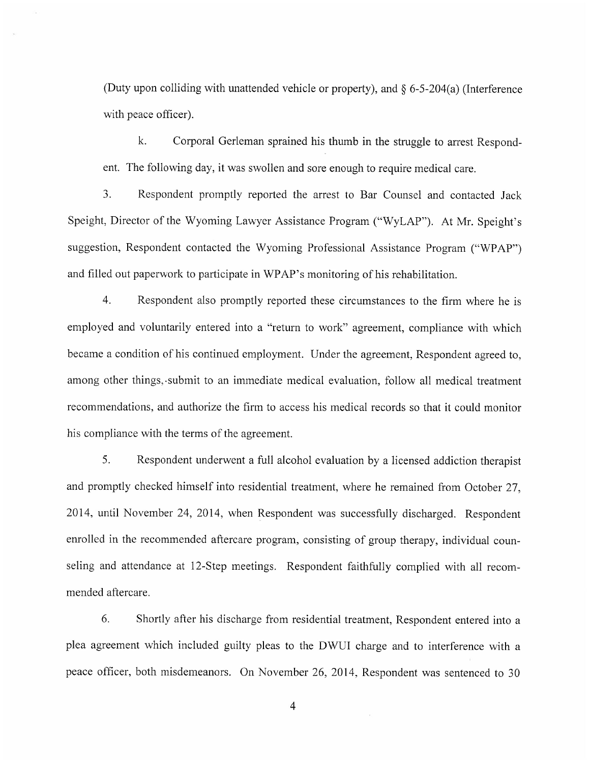(Duty upon colliding with unattended vehicle or property), and  $\delta$  6-5-204(a) (Interference with peace officer).

 $\mathbf{k}$ Corporal Gerleman sprained his thumb in the struggle to arrest Respondent. The following day, it was swollen and sore enough to require medical care.

 $\overline{3}$ Respondent promptly reported the arrest to Bar Counsel and contacted Jack Speight, Director of the Wyoming Lawyer Assistance Program ("WyLAP"). At Mr. Speight's suggestion, Respondent contacted the Wyoming Professional Assistance Program ("WPAP") and filled out paperwork to participate in WPAP's monitoring of his rehabilitation.

 $4.$ Respondent also promptly reported these circumstances to the firm where he is employed and voluntarily entered into a "return to work" agreement, compliance with which became a condition of his continued employment. Under the agreement, Respondent agreed to, among other things, submit to an immediate medical evaluation, follow all medical treatment recommendations, and authorize the firm to access his medical records so that it could monitor his compliance with the terms of the agreement.

5. Respondent underwent a full alcohol evaluation by a licensed addiction therapist and promptly checked himself into residential treatment, where he remained from October 27, 2014, until November 24, 2014, when Respondent was successfully discharged. Respondent enrolled in the recommended aftercare program, consisting of group therapy, individual counseling and attendance at 12-Step meetings. Respondent faithfully complied with all recommended aftercare.

6. Shortly after his discharge from residential treatment, Respondent entered into a plea agreement which included guilty pleas to the DWUI charge and to interference with a peace officer, both misdemeanors. On November 26, 2014, Respondent was sentenced to 30

 $\overline{4}$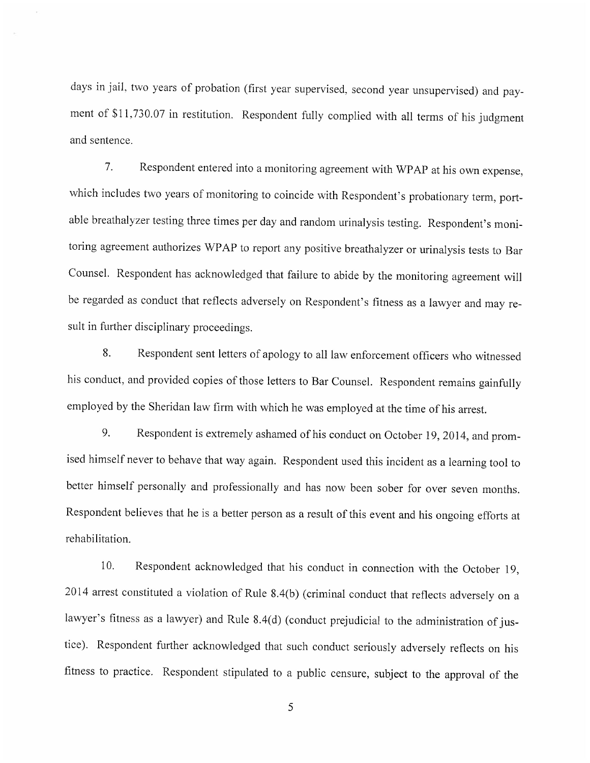days in jail, two years of probation (first year supervised, second year unsupervised) and payment of \$11,730.07 in restitution. Respondent fully complied with all terms of his judgment and sentence.

Respondent entered into a monitoring agreement with WPAP at his own expense,  $7<sup>1</sup>$ which includes two years of monitoring to coincide with Respondent's probationary term, portable breathalyzer testing three times per day and random urinalysis testing. Respondent's monitoring agreement authorizes WPAP to report any positive breathalyzer or urinalysis tests to Bar Counsel. Respondent has acknowledged that failure to abide by the monitoring agreement will be regarded as conduct that reflects adversely on Respondent's fitness as a lawyer and may result in further disciplinary proceedings.

Respondent sent letters of apology to all law enforcement officers who witnessed 8. his conduct, and provided copies of those letters to Bar Counsel. Respondent remains gainfully employed by the Sheridan law firm with which he was employed at the time of his arrest.

9. Respondent is extremely ashamed of his conduct on October 19, 2014, and promised himself never to behave that way again. Respondent used this incident as a learning tool to better himself personally and professionally and has now been sober for over seven months. Respondent believes that he is a better person as a result of this event and his ongoing efforts at rehabilitation.

Respondent acknowledged that his conduct in connection with the October 19,  $10<sub>1</sub>$ 2014 arrest constituted a violation of Rule 8.4(b) (criminal conduct that reflects adversely on a lawyer's fitness as a lawyer) and Rule 8.4(d) (conduct prejudicial to the administration of justice). Respondent further acknowledged that such conduct seriously adversely reflects on his fitness to practice. Respondent stipulated to a public censure, subject to the approval of the

5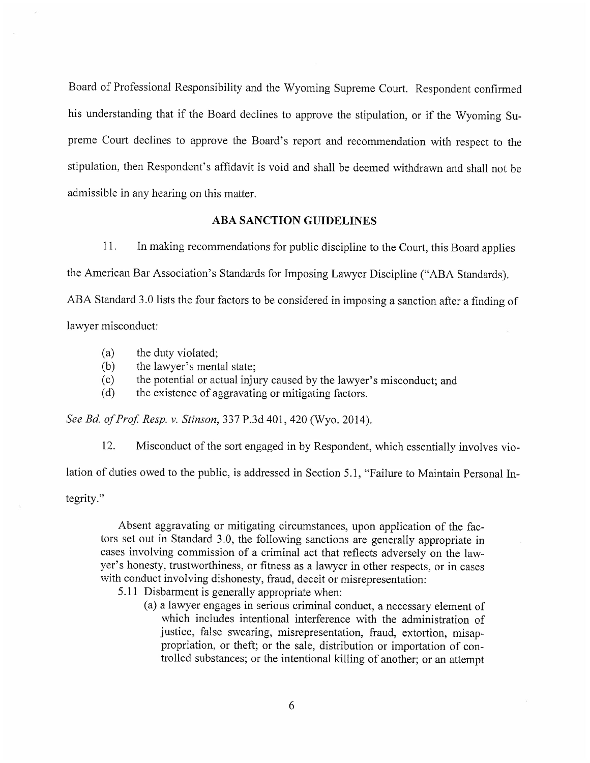Board of Professional Responsibility and the Wyoming Supreme Court. Respondent confirmed his understanding that if the Board declines to approve the stipulation, or if the Wyoming Supreme Court declines to approve the Board's report and recommendation with respect to the stipulation, then Respondent's affidavit is void and shall be deemed withdrawn and shall not be admissible in any hearing on this matter.

#### **ABA SANCTION GUIDELINES**

 $11.$ In making recommendations for public discipline to the Court, this Board applies

the American Bar Association's Standards for Imposing Lawyer Discipline ("ABA Standards).

ABA Standard 3.0 lists the four factors to be considered in imposing a sanction after a finding of

lawyer misconduct:

- $(a)$ the duty violated;
- $(b)$ the lawyer's mental state;
- the potential or actual injury caused by the lawyer's misconduct; and  $(c)$
- the existence of aggravating or mitigating factors.  $(d)$

See Bd. of Prof. Resp. v. Stinson, 337 P.3d 401, 420 (Wyo. 2014).

12. Misconduct of the sort engaged in by Respondent, which essentially involves violation of duties owed to the public, is addressed in Section 5.1, "Failure to Maintain Personal Integrity."

Absent aggravating or mitigating circumstances, upon application of the factors set out in Standard 3.0, the following sanctions are generally appropriate in cases involving commission of a criminal act that reflects adversely on the lawyer's honesty, trustworthiness, or fitness as a lawyer in other respects, or in cases with conduct involving dishonesty, fraud, deceit or misrepresentation:

- 5.11 Disbarment is generally appropriate when:
	- (a) a lawyer engages in serious criminal conduct, a necessary element of which includes intentional interference with the administration of justice, false swearing, misrepresentation, fraud, extortion, misappropriation, or theft; or the sale, distribution or importation of controlled substances; or the intentional killing of another; or an attempt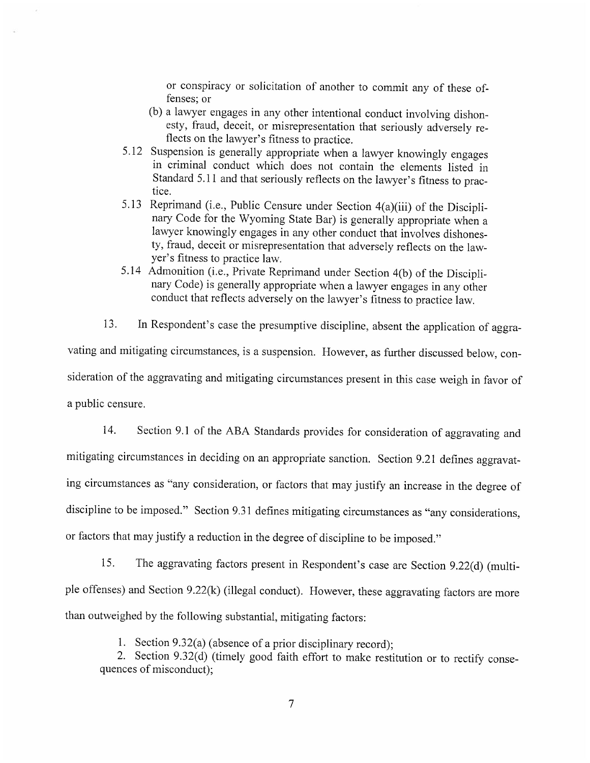or conspiracy or solicitation of another to commit any of these offenses: or

- (b) a lawyer engages in any other intentional conduct involving dishonesty, fraud, deceit, or misrepresentation that seriously adversely reflects on the lawyer's fitness to practice.
- 5.12 Suspension is generally appropriate when a lawyer knowingly engages in criminal conduct which does not contain the elements listed in Standard 5.11 and that seriously reflects on the lawyer's fitness to practice.
- 5.13 Reprimand (i.e., Public Censure under Section 4(a)(iii) of the Disciplinary Code for the Wyoming State Bar) is generally appropriate when a lawyer knowingly engages in any other conduct that involves dishonesty, fraud, deceit or misrepresentation that adversely reflects on the lawyer's fitness to practice law.
- 5.14 Admonition (i.e., Private Reprimand under Section 4(b) of the Disciplinary Code) is generally appropriate when a lawyer engages in any other conduct that reflects adversely on the lawyer's fitness to practice law.

13. In Respondent's case the presumptive discipline, absent the application of aggravating and mitigating circumstances, is a suspension. However, as further discussed below, consideration of the aggravating and mitigating circumstances present in this case weigh in favor of a public censure.

Section 9.1 of the ABA Standards provides for consideration of aggravating and 14. mitigating circumstances in deciding on an appropriate sanction. Section 9.21 defines aggravating circumstances as "any consideration, or factors that may justify an increase in the degree of discipline to be imposed." Section 9.31 defines mitigating circumstances as "any considerations, or factors that may justify a reduction in the degree of discipline to be imposed."

15. The aggravating factors present in Respondent's case are Section 9.22(d) (multiple offenses) and Section 9.22(k) (illegal conduct). However, these aggravating factors are more than outweighed by the following substantial, mitigating factors:

1. Section 9.32(a) (absence of a prior disciplinary record);

2. Section 9.32(d) (timely good faith effort to make restitution or to rectify consequences of misconduct);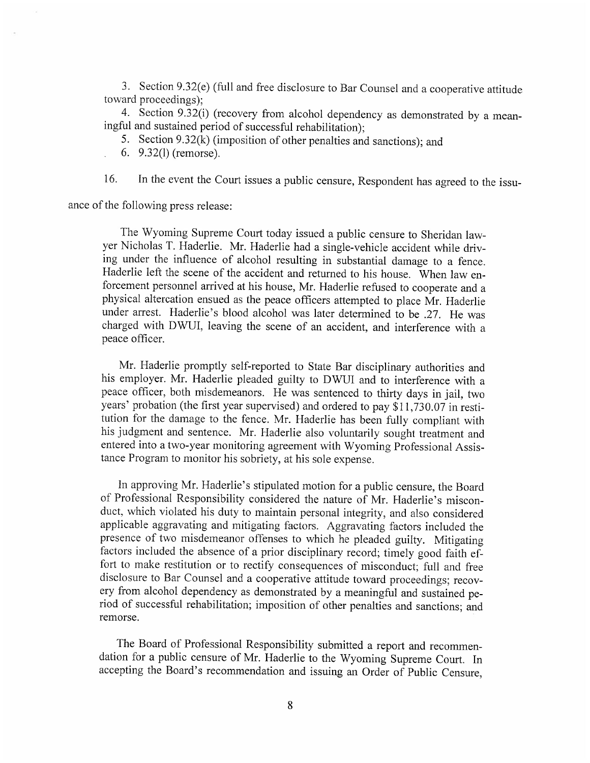3. Section 9.32(e) (full and free disclosure to Bar Counsel and a cooperative attitude toward proceedings):

4. Section 9.32(i) (recovery from alcohol dependency as demonstrated by a meaningful and sustained period of successful rehabilitation):

5. Section 9.32(k) (imposition of other penalties and sanctions); and

6. 9.32(1) (remorse).

In the event the Court issues a public censure, Respondent has agreed to the issu- $16.$ 

ance of the following press release:

The Wyoming Supreme Court today issued a public censure to Sheridan lawyer Nicholas T. Haderlie. Mr. Haderlie had a single-vehicle accident while driving under the influence of alcohol resulting in substantial damage to a fence. Haderlie left the scene of the accident and returned to his house. When law enforcement personnel arrived at his house, Mr. Haderlie refused to cooperate and a physical altercation ensued as the peace officers attempted to place Mr. Haderlie under arrest. Haderlie's blood alcohol was later determined to be .27. He was charged with DWUI, leaving the scene of an accident, and interference with a peace officer.

Mr. Haderlie promptly self-reported to State Bar disciplinary authorities and his employer. Mr. Haderlie pleaded guilty to DWUI and to interference with a peace officer, both misdemeanors. He was sentenced to thirty days in jail, two years' probation (the first year supervised) and ordered to pay \$11,730.07 in restitution for the damage to the fence. Mr. Haderlie has been fully compliant with his judgment and sentence. Mr. Haderlie also voluntarily sought treatment and entered into a two-year monitoring agreement with Wyoming Professional Assistance Program to monitor his sobriety, at his sole expense.

In approving Mr. Haderlie's stipulated motion for a public censure, the Board of Professional Responsibility considered the nature of Mr. Haderlie's misconduct, which violated his duty to maintain personal integrity, and also considered applicable aggravating and mitigating factors. Aggravating factors included the presence of two misdemeanor offenses to which he pleaded guilty. Mitigating factors included the absence of a prior disciplinary record; timely good faith effort to make restitution or to rectify consequences of misconduct; full and free disclosure to Bar Counsel and a cooperative attitude toward proceedings; recovery from alcohol dependency as demonstrated by a meaningful and sustained period of successful rehabilitation; imposition of other penalties and sanctions; and remorse.

The Board of Professional Responsibility submitted a report and recommendation for a public censure of Mr. Haderlie to the Wyoming Supreme Court. In accepting the Board's recommendation and issuing an Order of Public Censure,